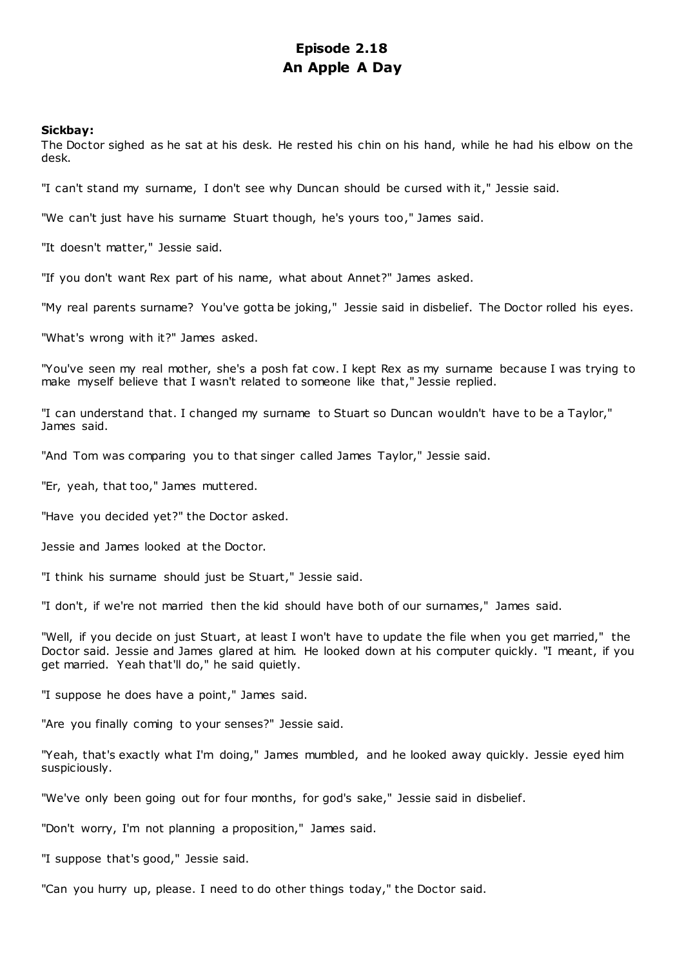# **Episode 2.18 An Apple A Day**

## **Sickbay:**

The Doctor sighed as he sat at his desk. He rested his chin on his hand, while he had his elbow on the desk.

"I can't stand my surname, I don't see why Duncan should be cursed with it," Jessie said.

"We can't just have his surname Stuart though, he's yours too," James said.

"It doesn't matter," Jessie said.

"If you don't want Rex part of his name, what about Annet?" James asked.

"My real parents surname? You've gotta be joking," Jessie said in disbelief. The Doctor rolled his eyes.

"What's wrong with it?" James asked.

"You've seen my real mother, she's a posh fat cow. I kept Rex as my surname because I was trying to make myself believe that I wasn't related to someone like that," Jessie replied.

"I can understand that. I changed my surname to Stuart so Duncan wouldn't have to be a Taylor," James said.

"And Tom was comparing you to that singer called James Taylor," Jessie said.

"Er, yeah, that too," James muttered.

"Have you decided yet?" the Doctor asked.

Jessie and James looked at the Doctor.

"I think his surname should just be Stuart," Jessie said.

"I don't, if we're not married then the kid should have both of our surnames," James said.

"Well, if you decide on just Stuart, at least I won't have to update the file when you get married," the Doctor said. Jessie and James glared at him. He looked down at his computer quickly. "I meant, if you get married. Yeah that'll do," he said quietly.

"I suppose he does have a point," James said.

"Are you finally coming to your senses?" Jessie said.

"Yeah, that's exactly what I'm doing," James mumbled, and he looked away quickly. Jessie eyed him suspiciously.

"We've only been going out for four months, for god's sake," Jessie said in disbelief.

"Don't worry, I'm not planning a proposition," James said.

"I suppose that's good," Jessie said.

"Can you hurry up, please. I need to do other things today," the Doctor said.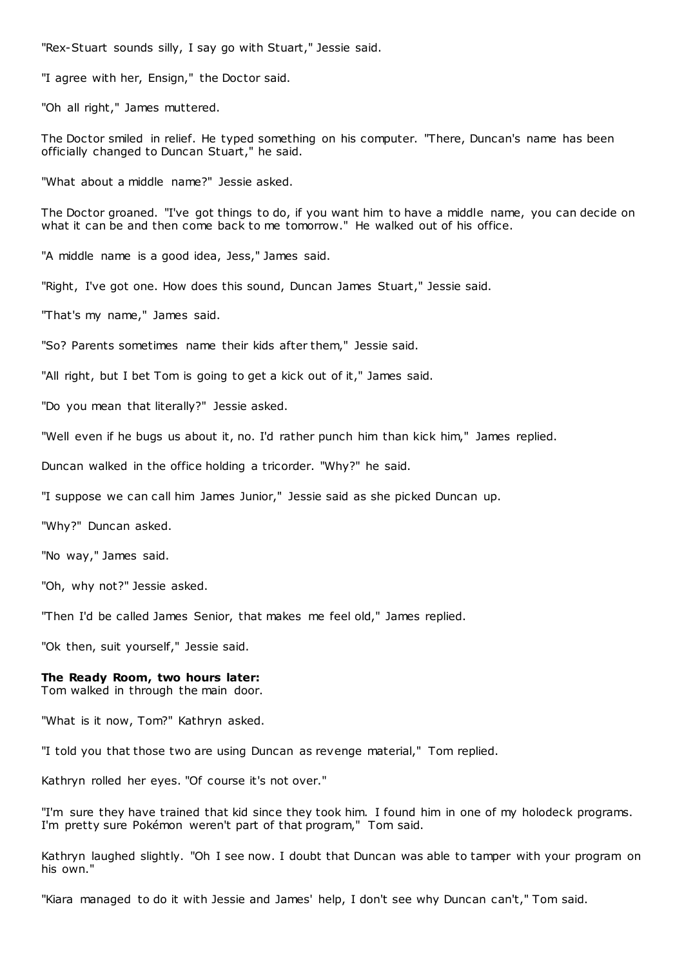"Rex-Stuart sounds silly, I say go with Stuart," Jessie said.

"I agree with her, Ensign," the Doctor said.

"Oh all right," James muttered.

The Doctor smiled in relief. He typed something on his computer. "There, Duncan's name has been officially changed to Duncan Stuart," he said.

"What about a middle name?" Jessie asked.

The Doctor groaned. "I've got things to do, if you want him to have a middle name, you can decide on what it can be and then come back to me tomorrow." He walked out of his office.

"A middle name is a good idea, Jess," James said.

"Right, I've got one. How does this sound, Duncan James Stuart," Jessie said.

"That's my name," James said.

"So? Parents sometimes name their kids after them," Jessie said.

"All right, but I bet Tom is going to get a kick out of it," James said.

"Do you mean that literally?" Jessie asked.

"Well even if he bugs us about it, no. I'd rather punch him than kick him," James replied.

Duncan walked in the office holding a tricorder. "Why?" he said.

"I suppose we can call him James Junior," Jessie said as she picked Duncan up.

"Why?" Duncan asked.

"No way," James said.

"Oh, why not?" Jessie asked.

"Then I'd be called James Senior, that makes me feel old," James replied.

"Ok then, suit yourself," Jessie said.

# **The Ready Room, two hours later:**

Tom walked in through the main door.

"What is it now, Tom?" Kathryn asked.

"I told you that those two are using Duncan as revenge material," Tom replied.

Kathryn rolled her eyes. "Of course it's not over."

"I'm sure they have trained that kid since they took him. I found him in one of my holodeck programs. I'm pretty sure Pokémon weren't part of that program," Tom said.

Kathryn laughed slightly. "Oh I see now. I doubt that Duncan was able to tamper with your program on his own."

"Kiara managed to do it with Jessie and James' help, I don't see why Duncan can't," Tom said.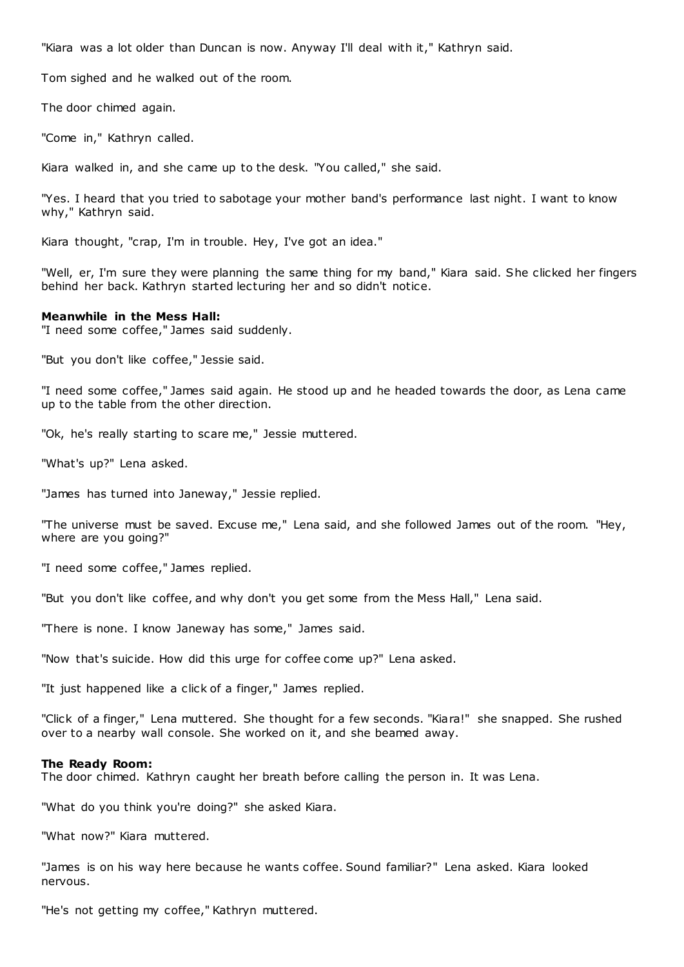"Kiara was a lot older than Duncan is now. Anyway I'll deal with it," Kathryn said.

Tom sighed and he walked out of the room.

The door chimed again.

"Come in," Kathryn called.

Kiara walked in, and she came up to the desk. "You called," she said.

"Yes. I heard that you tried to sabotage your mother band's performance last night. I want to know why," Kathryn said.

Kiara thought, "crap, I'm in trouble. Hey, I've got an idea."

"Well, er, I'm sure they were planning the same thing for my band," Kiara said. She clicked her fingers behind her back. Kathryn started lecturing her and so didn't notice.

## **Meanwhile in the Mess Hall:**

"I need some coffee," James said suddenly.

"But you don't like coffee," Jessie said.

"I need some coffee," James said again. He stood up and he headed towards the door, as Lena came up to the table from the other direction.

"Ok, he's really starting to scare me," Jessie muttered.

"What's up?" Lena asked.

"James has turned into Janeway," Jessie replied.

"The universe must be saved. Excuse me," Lena said, and she followed James out of the room. "Hey, where are you going?"

"I need some coffee," James replied.

"But you don't like coffee, and why don't you get some from the Mess Hall," Lena said.

"There is none. I know Janeway has some," James said.

"Now that's suicide. How did this urge for coffee come up?" Lena asked.

"It just happened like a click of a finger," James replied.

"Click of a finger," Lena muttered. She thought for a few seconds. "Kiara!" she snapped. She rushed over to a nearby wall console. She worked on it, and she beamed away.

## **The Ready Room:**

The door chimed. Kathryn caught her breath before calling the person in. It was Lena.

"What do you think you're doing?" she asked Kiara.

"What now?" Kiara muttered.

"James is on his way here because he wants coffee. Sound familiar?" Lena asked. Kiara looked nervous.

"He's not getting my coffee," Kathryn muttered.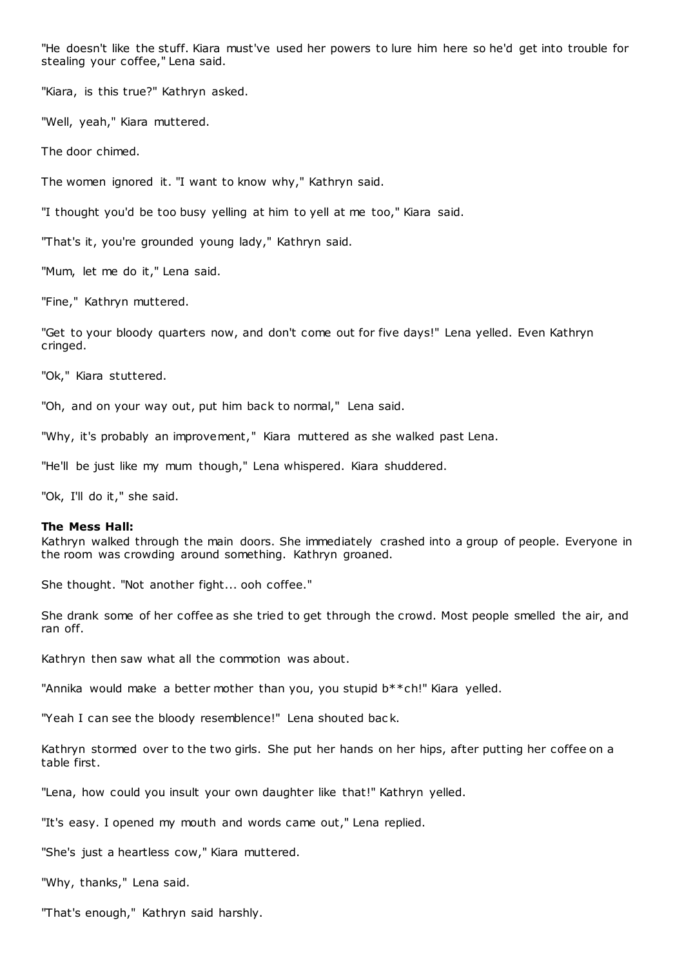"He doesn't like the stuff. Kiara must've used her powers to lure him here so he'd get into trouble for stealing your coffee," Lena said.

"Kiara, is this true?" Kathryn asked.

"Well, yeah," Kiara muttered.

The door chimed.

The women ignored it. "I want to know why," Kathryn said.

"I thought you'd be too busy yelling at him to yell at me too," Kiara said.

"That's it, you're grounded young lady," Kathryn said.

"Mum, let me do it," Lena said.

"Fine," Kathryn muttered.

"Get to your bloody quarters now, and don't come out for five days!" Lena yelled. Even Kathryn cringed.

"Ok," Kiara stuttered.

"Oh, and on your way out, put him back to normal," Lena said.

"Why, it's probably an improvement," Kiara muttered as she walked past Lena.

"He'll be just like my mum though," Lena whispered. Kiara shuddered.

"Ok, I'll do it," she said.

## **The Mess Hall:**

Kathryn walked through the main doors. She immediately crashed into a group of people. Everyone in the room was crowding around something. Kathryn groaned.

She thought. "Not another fight... ooh coffee."

She drank some of her coffee as she tried to get through the crowd. Most people smelled the air, and ran off.

Kathryn then saw what all the commotion was about.

"Annika would make a better mother than you, you stupid b\*\*ch!" Kiara yelled.

"Yeah I can see the bloody resemblence!" Lena shouted bac k.

Kathryn stormed over to the two girls. She put her hands on her hips, after putting her coffee on a table first.

"Lena, how could you insult your own daughter like that!" Kathryn yelled.

"It's easy. I opened my mouth and words came out," Lena replied.

"She's just a heartless cow," Kiara muttered.

"Why, thanks," Lena said.

"That's enough," Kathryn said harshly.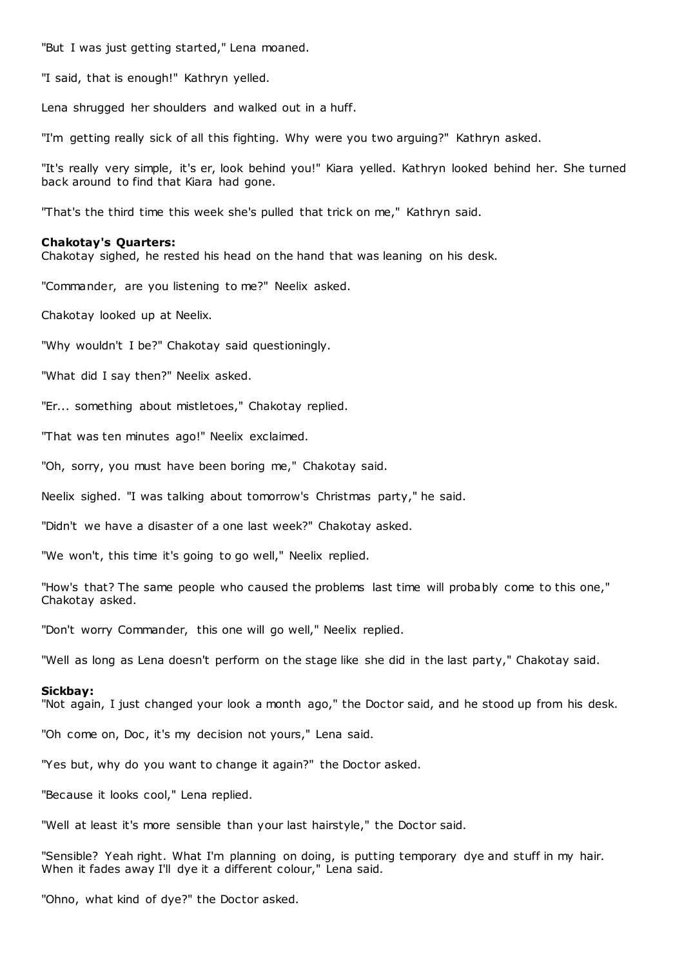"But I was just getting started," Lena moaned.

"I said, that is enough!" Kathryn yelled.

Lena shrugged her shoulders and walked out in a huff.

"I'm getting really sick of all this fighting. Why were you two arguing?" Kathryn asked.

"It's really very simple, it's er, look behind you!" Kiara yelled. Kathryn looked behind her. She turned back around to find that Kiara had gone.

"That's the third time this week she's pulled that trick on me," Kathryn said.

### **Chakotay's Quarters:**

Chakotay sighed, he rested his head on the hand that was leaning on his desk.

"Commander, are you listening to me?" Neelix asked.

Chakotay looked up at Neelix.

"Why wouldn't I be?" Chakotay said questioningly.

"What did I say then?" Neelix asked.

"Er... something about mistletoes," Chakotay replied.

"That was ten minutes ago!" Neelix exclaimed.

"Oh, sorry, you must have been boring me," Chakotay said.

Neelix sighed. "I was talking about tomorrow's Christmas party," he said.

"Didn't we have a disaster of a one last week?" Chakotay asked.

"We won't, this time it's going to go well," Neelix replied.

"How's that? The same people who caused the problems last time will probably come to this one," Chakotay asked.

"Don't worry Commander, this one will go well," Neelix replied.

"Well as long as Lena doesn't perform on the stage like she did in the last party," Chakotay said.

### **Sickbay:**

"Not again, I just changed your look a month ago," the Doctor said, and he stood up from his desk.

"Oh come on, Doc, it's my decision not yours," Lena said.

"Yes but, why do you want to change it again?" the Doctor asked.

"Because it looks cool," Lena replied.

"Well at least it's more sensible than your last hairstyle," the Doctor said.

"Sensible? Yeah right. What I'm planning on doing, is putting temporary dye and stuff in my hair. When it fades away I'll dye it a different colour," Lena said.

"Ohno, what kind of dye?" the Doctor asked.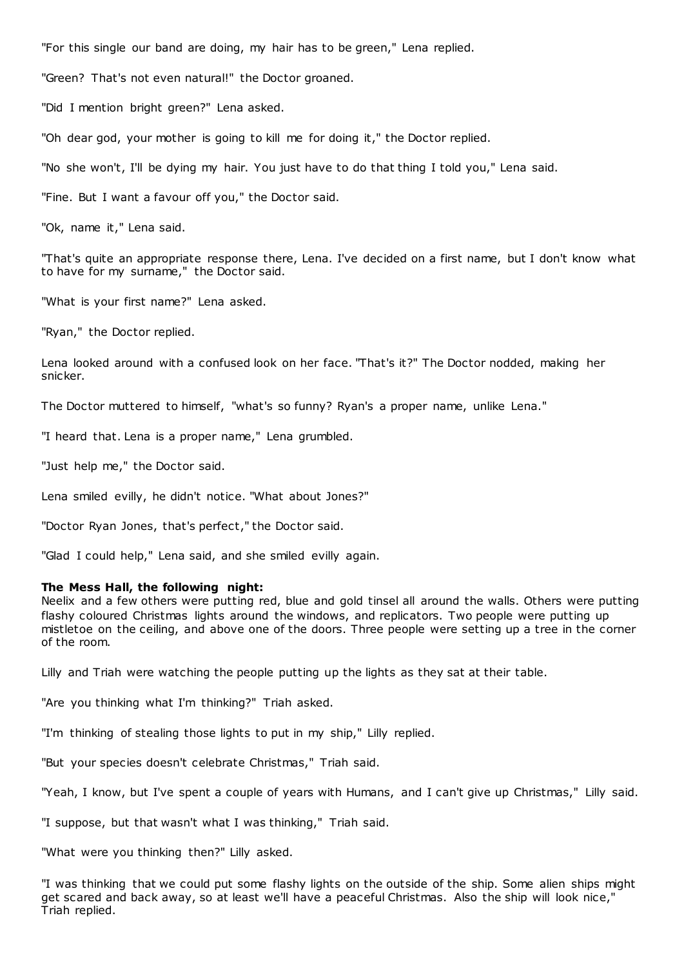"For this single our band are doing, my hair has to be green," Lena replied.

"Green? That's not even natural!" the Doctor groaned.

"Did I mention bright green?" Lena asked.

"Oh dear god, your mother is going to kill me for doing it," the Doctor replied.

"No she won't, I'll be dying my hair. You just have to do that thing I told you," Lena said.

"Fine. But I want a favour off you," the Doctor said.

"Ok, name it," Lena said.

"That's quite an appropriate response there, Lena. I've decided on a first name, but I don't know what to have for my surname," the Doctor said.

"What is your first name?" Lena asked.

"Ryan," the Doctor replied.

Lena looked around with a confused look on her face. "That's it?" The Doctor nodded, making her snicker.

The Doctor muttered to himself, "what's so funny? Ryan's a proper name, unlike Lena."

"I heard that. Lena is a proper name," Lena grumbled.

"Just help me," the Doctor said.

Lena smiled evilly, he didn't notice. "What about Jones?"

"Doctor Ryan Jones, that's perfect," the Doctor said.

"Glad I could help," Lena said, and she smiled evilly again.

### **The Mess Hall, the following night:**

Neelix and a few others were putting red, blue and gold tinsel all around the walls. Others were putting flashy coloured Christmas lights around the windows, and replicators. Two people were putting up mistletoe on the ceiling, and above one of the doors. Three people were setting up a tree in the corner of the room.

Lilly and Triah were watching the people putting up the lights as they sat at their table.

"Are you thinking what I'm thinking?" Triah asked.

"I'm thinking of stealing those lights to put in my ship," Lilly replied.

"But your species doesn't celebrate Christmas," Triah said.

"Yeah, I know, but I've spent a couple of years with Humans, and I can't give up Christmas," Lilly said.

"I suppose, but that wasn't what I was thinking," Triah said.

"What were you thinking then?" Lilly asked.

"I was thinking that we could put some flashy lights on the outside of the ship. Some alien ships might get scared and back away, so at least we'll have a peaceful Christmas. Also the ship will look nice," Triah replied.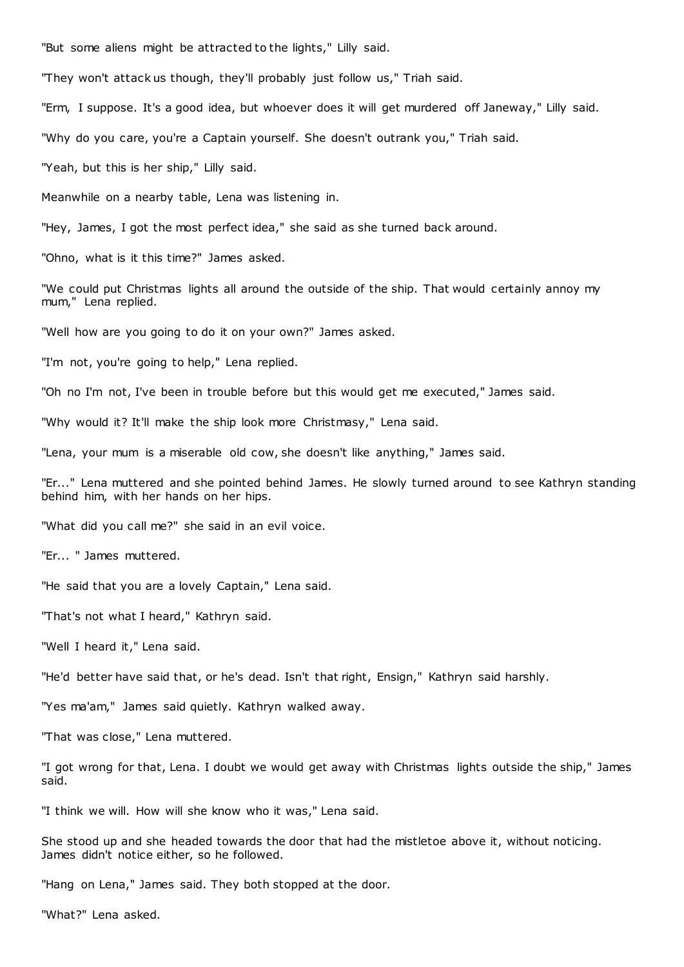"But some aliens might be attracted to the lights," Lilly said.

"They won't attack us though, they'll probably just follow us," Triah said.

"Erm, I suppose. It's a good idea, but whoever does it will get murdered off Janeway," Lilly said.

"Why do you care, you're a Captain yourself. She doesn't outrank you," Triah said.

"Yeah, but this is her ship," Lilly said.

Meanwhile on a nearby table, Lena was listening in.

"Hey, James, I got the most perfect idea," she said as she turned back around.

"Ohno, what is it this time?" James asked.

"We could put Christmas lights all around the outside of the ship. That would certainly annoy my mum," Lena replied.

"Well how are you going to do it on your own?" James asked.

"I'm not, you're going to help," Lena replied.

"Oh no I'm not, I've been in trouble before but this would get me executed," James said.

"Why would it? It'll make the ship look more Christmasy," Lena said.

"Lena, your mum is a miserable old cow, she doesn't like anything," James said.

"Er..." Lena muttered and she pointed behind James. He slowly turned around to see Kathryn standing behind him, with her hands on her hips.

"What did you call me?" she said in an evil voice.

"Er... " James muttered.

"He said that you are a lovely Captain," Lena said.

"That's not what I heard," Kathryn said.

"Well I heard it," Lena said.

"He'd better have said that, or he's dead. Isn't that right, Ensign," Kathryn said harshly.

"Yes ma'am," James said quietly. Kathryn walked away.

"That was close," Lena muttered.

"I got wrong for that, Lena. I doubt we would get away with Christmas lights outside the ship," James said.

"I think we will. How will she know who it was," Lena said.

She stood up and she headed towards the door that had the mistletoe above it, without noticing. James didn't notice either, so he followed.

"Hang on Lena," James said. They both stopped at the door.

"What?" Lena asked.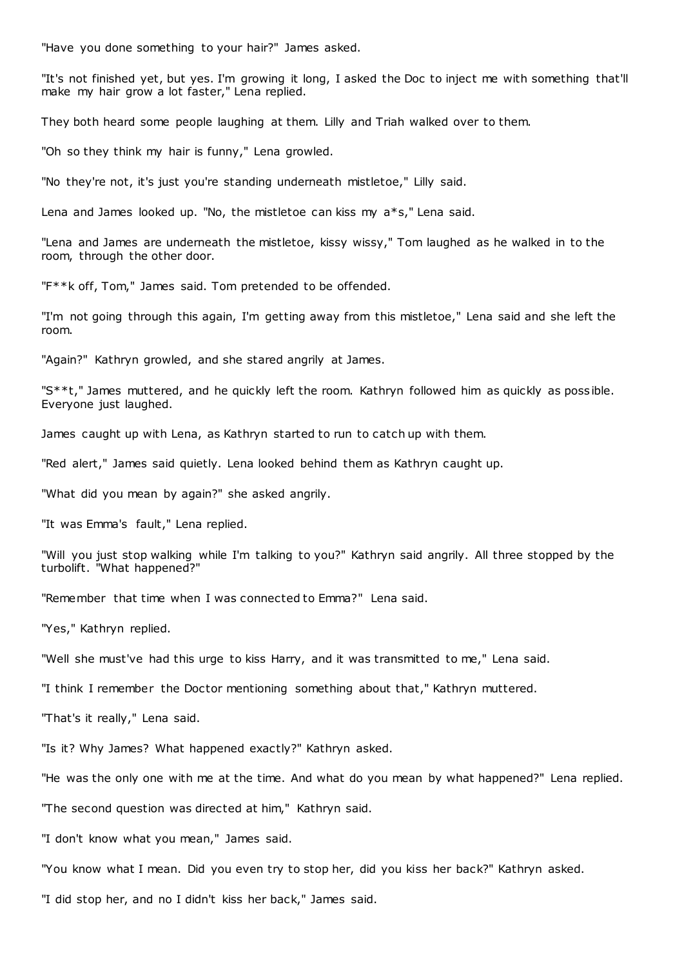"Have you done something to your hair?" James asked.

"It's not finished yet, but yes. I'm growing it long, I asked the Doc to inject me with something that'll make my hair grow a lot faster," Lena replied.

They both heard some people laughing at them. Lilly and Triah walked over to them.

"Oh so they think my hair is funny," Lena growled.

"No they're not, it's just you're standing underneath mistletoe," Lilly said.

Lena and James looked up. "No, the mistletoe can kiss my a\*s," Lena said.

"Lena and James are underneath the mistletoe, kissy wissy," Tom laughed as he walked in to the room, through the other door.

"F\*\*k off, Tom," James said. Tom pretended to be offended.

"I'm not going through this again, I'm getting away from this mistletoe," Lena said and she left the room.

"Again?" Kathryn growled, and she stared angrily at James.

"S\*\*t," James muttered, and he quickly left the room. Kathryn followed him as quickly as poss ible. Everyone just laughed.

James caught up with Lena, as Kathryn started to run to catch up with them.

"Red alert," James said quietly. Lena looked behind them as Kathryn caught up.

"What did you mean by again?" she asked angrily.

"It was Emma's fault," Lena replied.

"Will you just stop walking while I'm talking to you?" Kathryn said angrily. All three stopped by the turbolift. "What happened?"

"Remember that time when I was connected to Emma?" Lena said.

"Yes," Kathryn replied.

"Well she must've had this urge to kiss Harry, and it was transmitted to me," Lena said.

"I think I remember the Doctor mentioning something about that," Kathryn muttered.

"That's it really," Lena said.

"Is it? Why James? What happened exactly?" Kathryn asked.

"He was the only one with me at the time. And what do you mean by what happened?" Lena replied.

"The second question was directed at him," Kathryn said.

"I don't know what you mean," James said.

"You know what I mean. Did you even try to stop her, did you kiss her back?" Kathryn asked.

"I did stop her, and no I didn't kiss her back," James said.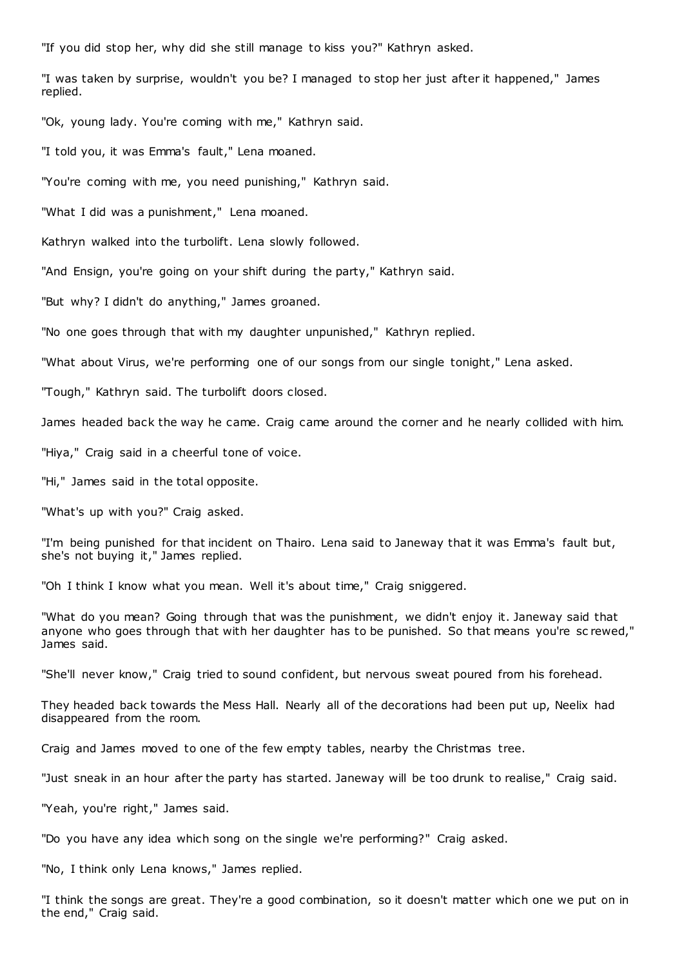"If you did stop her, why did she still manage to kiss you?" Kathryn asked.

"I was taken by surprise, wouldn't you be? I managed to stop her just after it happened," James replied.

"Ok, young lady. You're coming with me," Kathryn said.

"I told you, it was Emma's fault," Lena moaned.

"You're coming with me, you need punishing," Kathryn said.

"What I did was a punishment," Lena moaned.

Kathryn walked into the turbolift. Lena slowly followed.

"And Ensign, you're going on your shift during the party," Kathryn said.

"But why? I didn't do anything," James groaned.

"No one goes through that with my daughter unpunished," Kathryn replied.

"What about Virus, we're performing one of our songs from our single tonight," Lena asked.

"Tough," Kathryn said. The turbolift doors closed.

James headed back the way he came. Craig came around the corner and he nearly collided with him.

"Hiya," Craig said in a cheerful tone of voice.

"Hi," James said in the total opposite.

"What's up with you?" Craig asked.

"I'm being punished for that incident on Thairo. Lena said to Janeway that it was Emma's fault but, she's not buying it," James replied.

"Oh I think I know what you mean. Well it's about time," Craig sniggered.

"What do you mean? Going through that was the punishment, we didn't enjoy it. Janeway said that anyone who goes through that with her daughter has to be punished. So that means you're sc rewed," James said.

"She'll never know," Craig tried to sound confident, but nervous sweat poured from his forehead.

They headed back towards the Mess Hall. Nearly all of the decorations had been put up, Neelix had disappeared from the room.

Craig and James moved to one of the few empty tables, nearby the Christmas tree.

"Just sneak in an hour after the party has started. Janeway will be too drunk to realise," Craig said.

"Yeah, you're right," James said.

"Do you have any idea which song on the single we're performing?" Craig asked.

"No, I think only Lena knows," James replied.

"I think the songs are great. They're a good combination, so it doesn't matter which one we put on in the end," Craig said.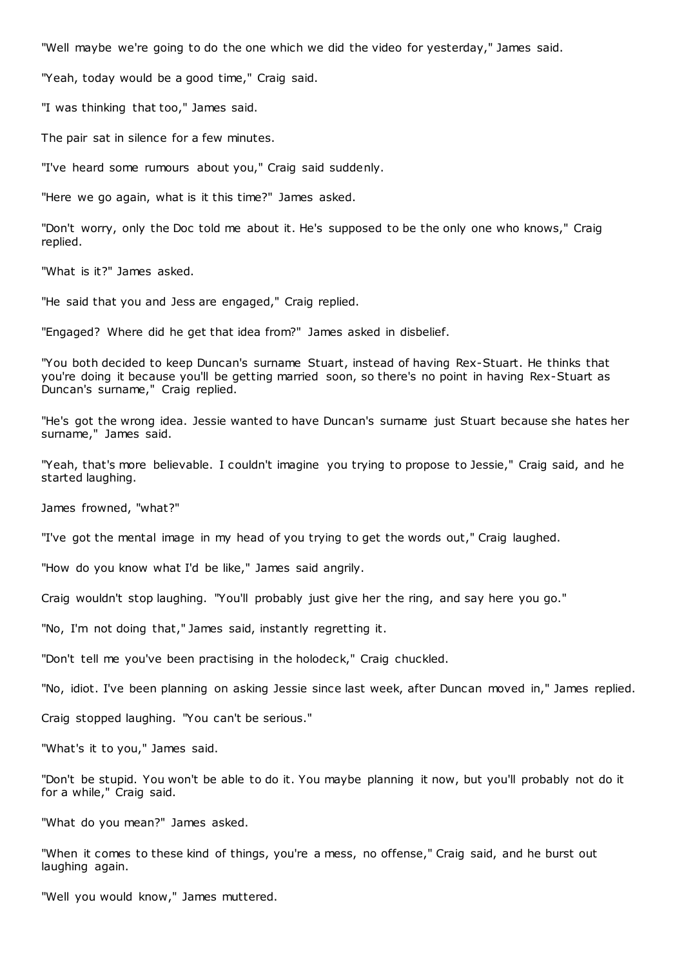"Well maybe we're going to do the one which we did the video for yesterday," James said.

"Yeah, today would be a good time," Craig said.

"I was thinking that too," James said.

The pair sat in silence for a few minutes.

"I've heard some rumours about you," Craig said suddenly.

"Here we go again, what is it this time?" James asked.

"Don't worry, only the Doc told me about it. He's supposed to be the only one who knows," Craig replied.

"What is it?" James asked.

"He said that you and Jess are engaged," Craig replied.

"Engaged? Where did he get that idea from?" James asked in disbelief.

"You both decided to keep Duncan's surname Stuart, instead of having Rex-Stuart. He thinks that you're doing it because you'll be getting married soon, so there's no point in having Rex-Stuart as Duncan's surname," Craig replied.

"He's got the wrong idea. Jessie wanted to have Duncan's surname just Stuart because she hates her surname," James said.

"Yeah, that's more believable. I couldn't imagine you trying to propose to Jessie," Craig said, and he started laughing.

James frowned, "what?"

"I've got the mental image in my head of you trying to get the words out," Craig laughed.

"How do you know what I'd be like," James said angrily.

Craig wouldn't stop laughing. "You'll probably just give her the ring, and say here you go."

"No, I'm not doing that," James said, instantly regretting it.

"Don't tell me you've been practising in the holodeck," Craig chuckled.

"No, idiot. I've been planning on asking Jessie since last week, after Duncan moved in," James replied.

Craig stopped laughing. "You can't be serious."

"What's it to you," James said.

"Don't be stupid. You won't be able to do it. You maybe planning it now, but you'll probably not do it for a while," Craig said.

"What do you mean?" James asked.

"When it comes to these kind of things, you're a mess, no offense," Craig said, and he burst out laughing again.

"Well you would know," James muttered.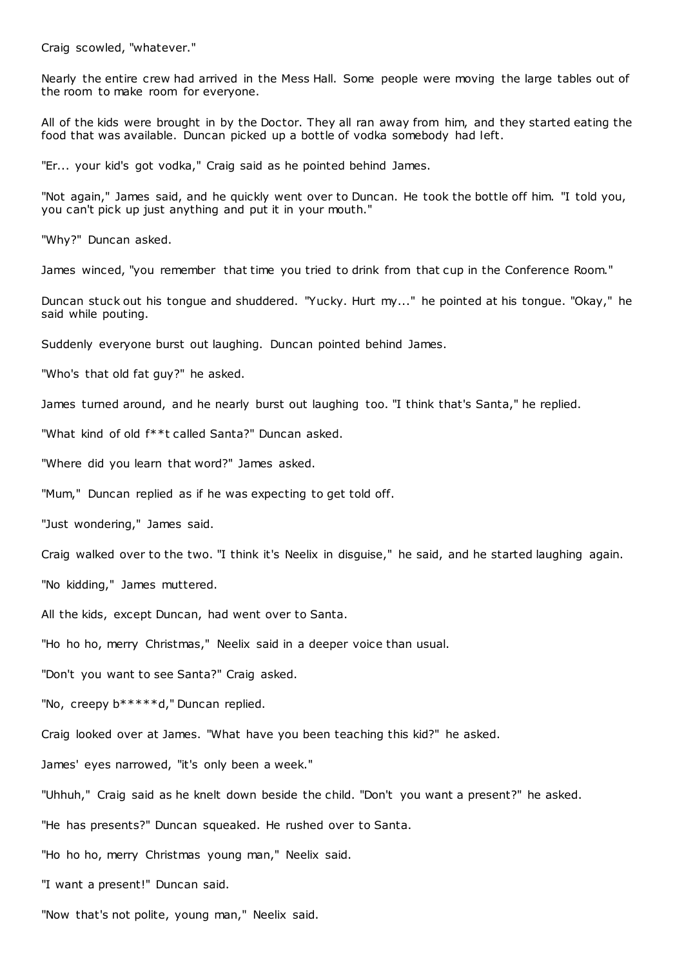Craig scowled, "whatever."

Nearly the entire crew had arrived in the Mess Hall. Some people were moving the large tables out of the room to make room for everyone.

All of the kids were brought in by the Doctor. They all ran away from him, and they started eating the food that was available. Duncan picked up a bottle of vodka somebody had left.

"Er... your kid's got vodka," Craig said as he pointed behind James.

"Not again," James said, and he quickly went over to Duncan. He took the bottle off him. "I told you, you can't pick up just anything and put it in your mouth."

"Why?" Duncan asked.

James winced, "you remember that time you tried to drink from that cup in the Conference Room."

Duncan stuck out his tongue and shuddered. "Yucky. Hurt my..." he pointed at his tongue. "Okay," he said while pouting.

Suddenly everyone burst out laughing. Duncan pointed behind James.

"Who's that old fat guy?" he asked.

James turned around, and he nearly burst out laughing too. "I think that's Santa," he replied.

"What kind of old f\*\*t called Santa?" Duncan asked.

"Where did you learn that word?" James asked.

"Mum," Duncan replied as if he was expecting to get told off.

"Just wondering," James said.

Craig walked over to the two. "I think it's Neelix in disguise," he said, and he started laughing again.

"No kidding," James muttered.

All the kids, except Duncan, had went over to Santa.

"Ho ho ho, merry Christmas," Neelix said in a deeper voice than usual.

"Don't you want to see Santa?" Craig asked.

"No, creepy b\*\*\*\*\*d," Duncan replied.

Craig looked over at James. "What have you been teaching this kid?" he asked.

James' eyes narrowed, "it's only been a week."

"Uhhuh," Craig said as he knelt down beside the child. "Don't you want a present?" he asked.

"He has presents?" Duncan squeaked. He rushed over to Santa.

"Ho ho ho, merry Christmas young man," Neelix said.

"I want a present!" Duncan said.

"Now that's not polite, young man," Neelix said.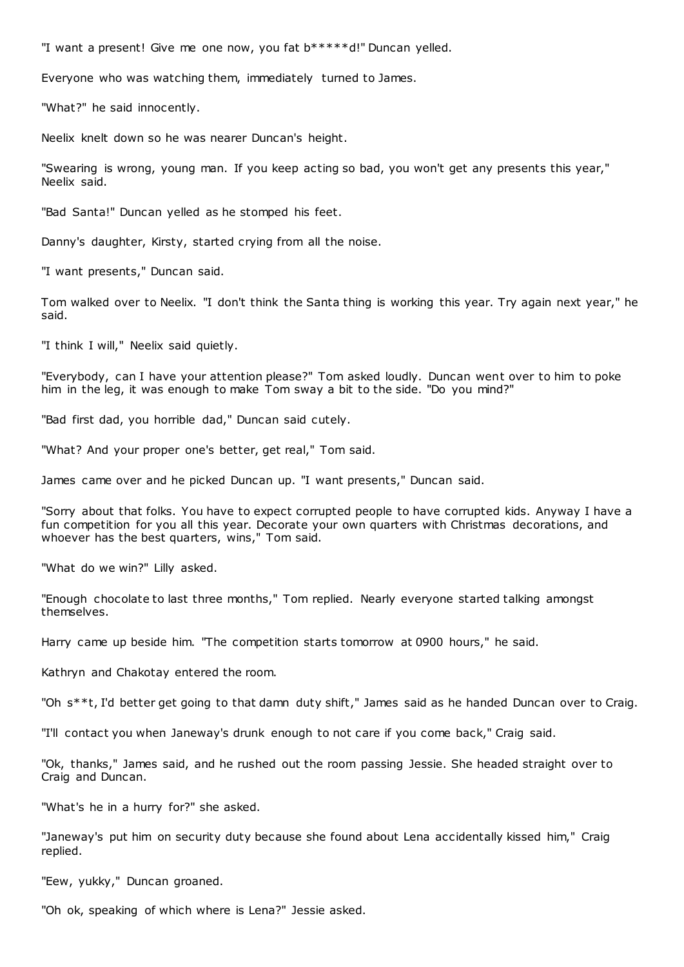"I want a present! Give me one now, you fat b\*\*\*\*\*d!" Duncan yelled.

Everyone who was watching them, immediately turned to James.

"What?" he said innocently.

Neelix knelt down so he was nearer Duncan's height.

"Swearing is wrong, young man. If you keep acting so bad, you won't get any presents this year," Neelix said.

"Bad Santa!" Duncan yelled as he stomped his feet.

Danny's daughter, Kirsty, started crying from all the noise.

"I want presents," Duncan said.

Tom walked over to Neelix. "I don't think the Santa thing is working this year. Try again next year," he said.

"I think I will," Neelix said quietly.

"Everybody, can I have your attention please?" Tom asked loudly. Duncan went over to him to poke him in the leg, it was enough to make Tom sway a bit to the side. "Do you mind?"

"Bad first dad, you horrible dad," Duncan said cutely.

"What? And your proper one's better, get real," Tom said.

James came over and he picked Duncan up. "I want presents," Duncan said.

"Sorry about that folks. You have to expect corrupted people to have corrupted kids. Anyway I have a fun competition for you all this year. Decorate your own quarters with Christmas decorations, and whoever has the best quarters, wins," Tom said.

"What do we win?" Lilly asked.

"Enough chocolate to last three months," Tom replied. Nearly everyone started talking amongst themselves.

Harry came up beside him. "The competition starts tomorrow at 0900 hours," he said.

Kathryn and Chakotay entered the room.

"Oh s\*\*t, I'd better get going to that damn duty shift," James said as he handed Duncan over to Craig.

"I'll contact you when Janeway's drunk enough to not care if you come back," Craig said.

"Ok, thanks," James said, and he rushed out the room passing Jessie. She headed straight over to Craig and Duncan.

"What's he in a hurry for?" she asked.

"Janeway's put him on security duty because she found about Lena accidentally kissed him," Craig replied.

"Eew, yukky," Duncan groaned.

"Oh ok, speaking of which where is Lena?" Jessie asked.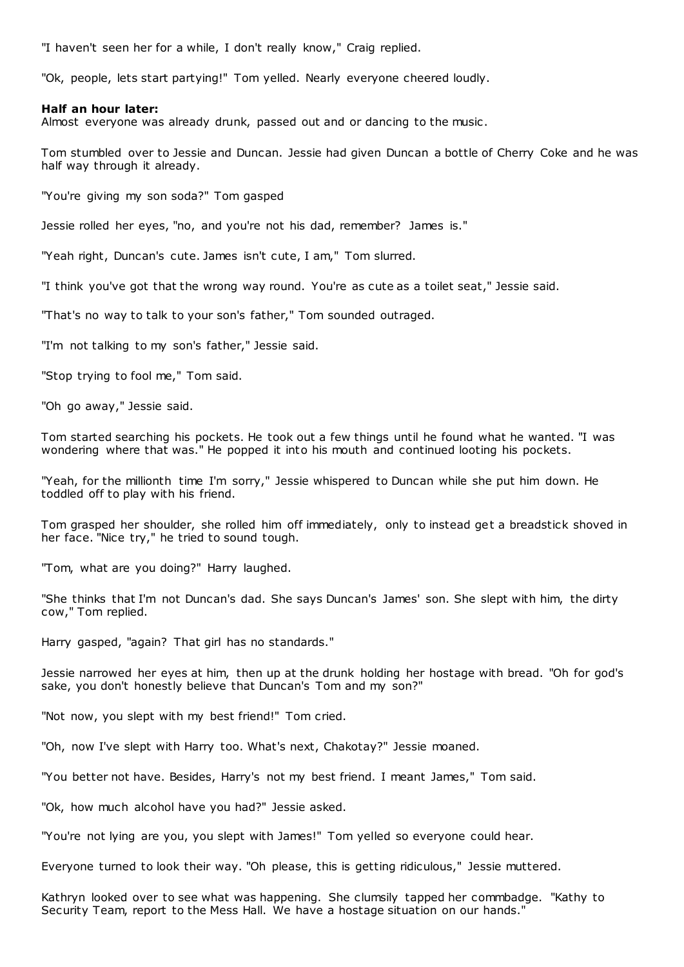"I haven't seen her for a while, I don't really know," Craig replied.

"Ok, people, lets start partying!" Tom yelled. Nearly everyone cheered loudly.

### **Half an hour later:**

Almost everyone was already drunk, passed out and or dancing to the music .

Tom stumbled over to Jessie and Duncan. Jessie had given Duncan a bottle of Cherry Coke and he was half way through it already.

"You're giving my son soda?" Tom gasped

Jessie rolled her eyes, "no, and you're not his dad, remember? James is."

"Yeah right, Duncan's cute. James isn't cute, I am," Tom slurred.

"I think you've got that the wrong way round. You're as cute as a toilet seat," Jessie said.

"That's no way to talk to your son's father," Tom sounded outraged.

"I'm not talking to my son's father," Jessie said.

"Stop trying to fool me," Tom said.

"Oh go away," Jessie said.

Tom started searching his pockets. He took out a few things until he found what he wanted. "I was wondering where that was." He popped it into his mouth and continued looting his pockets.

"Yeah, for the millionth time I'm sorry," Jessie whispered to Duncan while she put him down. He toddled off to play with his friend.

Tom grasped her shoulder, she rolled him off immediately, only to instead get a breadstick shoved in her face. "Nice try," he tried to sound tough.

"Tom, what are you doing?" Harry laughed.

"She thinks that I'm not Duncan's dad. She says Duncan's James' son. She slept with him, the dirty cow," Tom replied.

Harry gasped, "again? That girl has no standards."

Jessie narrowed her eyes at him, then up at the drunk holding her hostage with bread. "Oh for god's sake, you don't honestly believe that Duncan's Tom and my son?"

"Not now, you slept with my best friend!" Tom cried.

"Oh, now I've slept with Harry too. What's next, Chakotay?" Jessie moaned.

"You better not have. Besides, Harry's not my best friend. I meant James," Tom said.

"Ok, how much alcohol have you had?" Jessie asked.

"You're not lying are you, you slept with James!" Tom yelled so everyone could hear.

Everyone turned to look their way. "Oh please, this is getting ridiculous," Jessie muttered.

Kathryn looked over to see what was happening. She clumsily tapped her commbadge. "Kathy to Security Team, report to the Mess Hall. We have a hostage situation on our hands."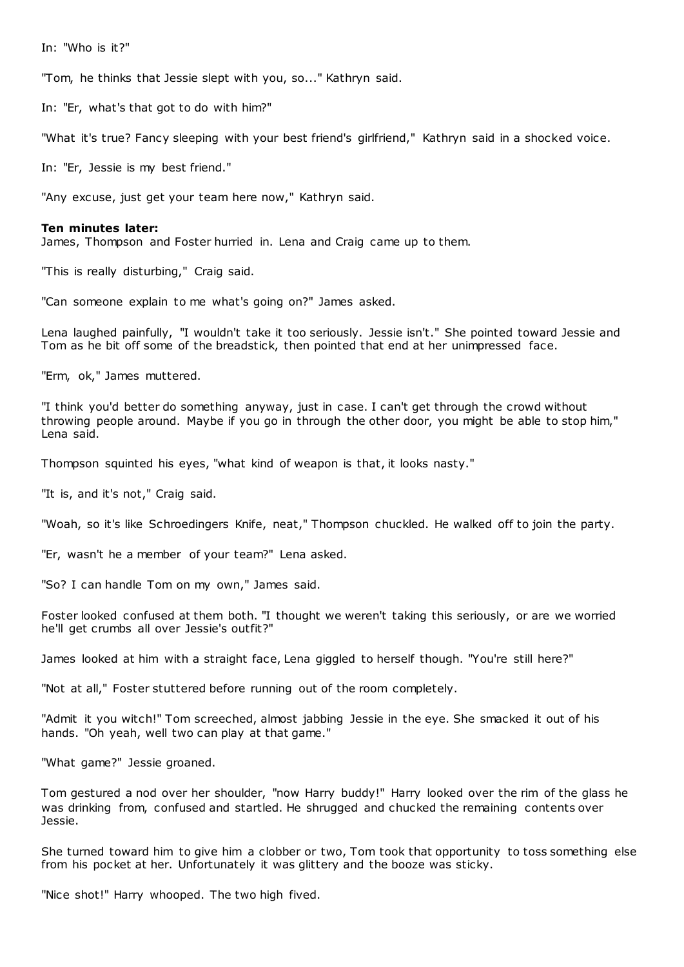In: "Who is it?"

"Tom, he thinks that Jessie slept with you, so..." Kathryn said.

In: "Er, what's that got to do with him?"

"What it's true? Fancy sleeping with your best friend's girlfriend," Kathryn said in a shocked voice.

In: "Er, Jessie is my best friend."

"Any excuse, just get your team here now," Kathryn said.

#### **Ten minutes later:**

James, Thompson and Foster hurried in. Lena and Craig came up to them.

"This is really disturbing," Craig said.

"Can someone explain to me what's going on?" James asked.

Lena laughed painfully, "I wouldn't take it too seriously. Jessie isn't." She pointed toward Jessie and Tom as he bit off some of the breadstick, then pointed that end at her unimpressed face.

"Erm, ok," James muttered.

"I think you'd better do something anyway, just in case. I can't get through the crowd without throwing people around. Maybe if you go in through the other door, you might be able to stop him," Lena said.

Thompson squinted his eyes, "what kind of weapon is that, it looks nasty."

"It is, and it's not," Craig said.

"Woah, so it's like Schroedingers Knife, neat," Thompson chuckled. He walked off to join the party.

"Er, wasn't he a member of your team?" Lena asked.

"So? I can handle Tom on my own," James said.

Foster looked confused at them both. "I thought we weren't taking this seriously, or are we worried he'll get crumbs all over Jessie's outfit?"

James looked at him with a straight face, Lena giggled to herself though. "You're still here?"

"Not at all," Foster stuttered before running out of the room completely.

"Admit it you witch!" Tom screeched, almost jabbing Jessie in the eye. She smacked it out of his hands. "Oh yeah, well two can play at that game."

"What game?" Jessie groaned.

Tom gestured a nod over her shoulder, "now Harry buddy!" Harry looked over the rim of the glass he was drinking from, confused and startled. He shrugged and chucked the remaining contents over Jessie.

She turned toward him to give him a clobber or two, Tom took that opportunity to toss something else from his pocket at her. Unfortunately it was glittery and the booze was sticky.

"Nice shot!" Harry whooped. The two high fived.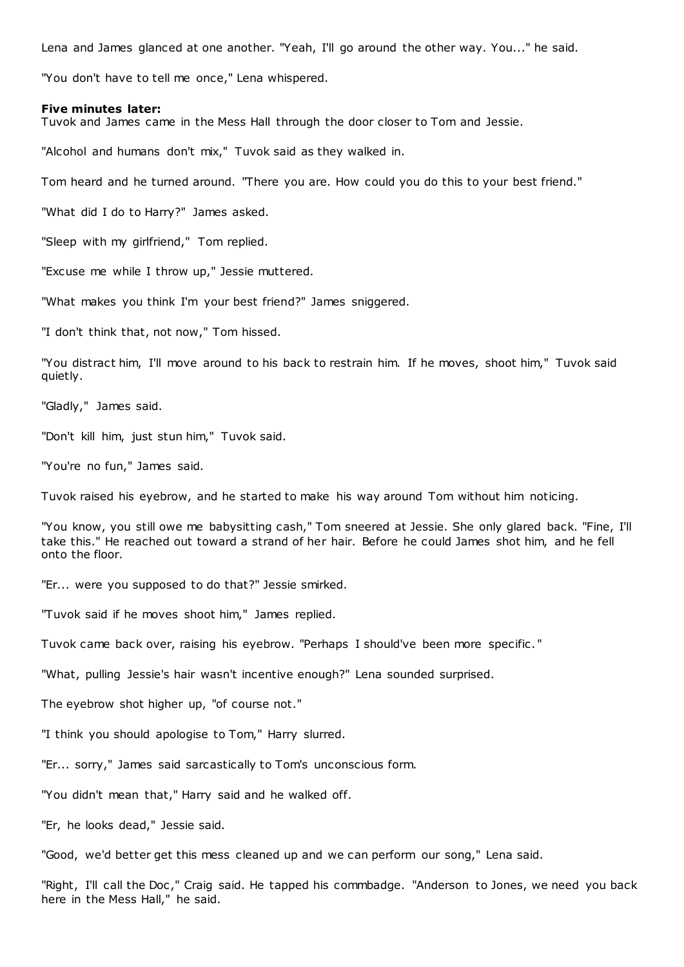Lena and James glanced at one another. "Yeah, I'll go around the other way. You..." he said.

"You don't have to tell me once," Lena whispered.

#### **Five minutes later:**

Tuvok and James came in the Mess Hall through the door closer to Tom and Jessie.

"Alcohol and humans don't mix," Tuvok said as they walked in.

Tom heard and he turned around. "There you are. How could you do this to your best friend."

"What did I do to Harry?" James asked.

"Sleep with my girlfriend," Tom replied.

"Excuse me while I throw up," Jessie muttered.

"What makes you think I'm your best friend?" James sniggered.

"I don't think that, not now," Tom hissed.

"You distract him, I'll move around to his back to restrain him. If he moves, shoot him," Tuvok said quietly.

"Gladly," James said.

"Don't kill him, just stun him," Tuvok said.

"You're no fun," James said.

Tuvok raised his eyebrow, and he started to make his way around Tom without him noticing.

"You know, you still owe me babysitting cash," Tom sneered at Jessie. She only glared back. "Fine, I'll take this." He reached out toward a strand of her hair. Before he could James shot him, and he fell onto the floor.

"Er... were you supposed to do that?" Jessie smirked.

"Tuvok said if he moves shoot him," James replied.

Tuvok came back over, raising his eyebrow. "Perhaps I should've been more specific . "

"What, pulling Jessie's hair wasn't incentive enough?" Lena sounded surprised.

The eyebrow shot higher up, "of course not."

"I think you should apologise to Tom," Harry slurred.

"Er... sorry," James said sarcastically to Tom's unconscious form.

"You didn't mean that," Harry said and he walked off.

"Er, he looks dead," Jessie said.

"Good, we'd better get this mess cleaned up and we can perform our song," Lena said.

"Right, I'll call the Doc," Craig said. He tapped his commbadge. "Anderson to Jones, we need you back here in the Mess Hall," he said.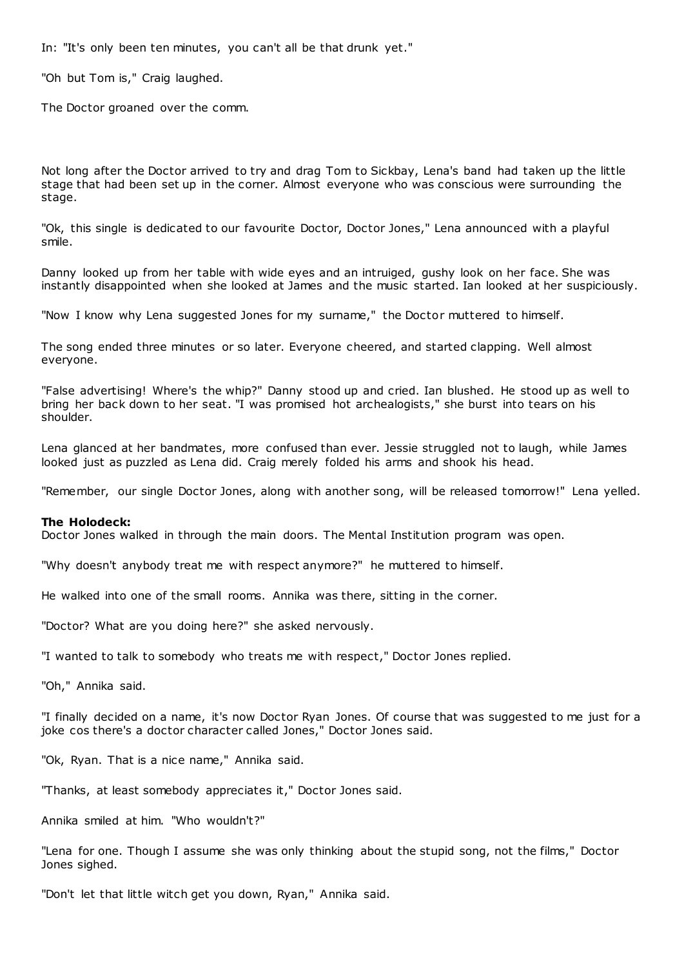In: "It's only been ten minutes, you can't all be that drunk yet."

"Oh but Tom is," Craig laughed.

The Doctor groaned over the comm.

Not long after the Doctor arrived to try and drag Tom to Sickbay, Lena's band had taken up the little stage that had been set up in the corner. Almost everyone who was conscious were surrounding the stage.

"Ok, this single is dedicated to our favourite Doctor, Doctor Jones," Lena announced with a playful smile.

Danny looked up from her table with wide eyes and an intruiged, gushy look on her face. She was instantly disappointed when she looked at James and the music started. Ian looked at her suspiciously.

"Now I know why Lena suggested Jones for my surname," the Doctor muttered to himself.

The song ended three minutes or so later. Everyone cheered, and started clapping. Well almost everyone.

"False advertising! Where's the whip?" Danny stood up and cried. Ian blushed. He stood up as well to bring her back down to her seat. "I was promised hot archealogists," she burst into tears on his shoulder.

Lena glanced at her bandmates, more confused than ever. Jessie struggled not to laugh, while James looked just as puzzled as Lena did. Craig merely folded his arms and shook his head.

"Remember, our single Doctor Jones, along with another song, will be released tomorrow!" Lena yelled.

### **The Holodeck:**

Doctor Jones walked in through the main doors. The Mental Institution program was open.

"Why doesn't anybody treat me with respect anymore?" he muttered to himself.

He walked into one of the small rooms. Annika was there, sitting in the corner.

"Doctor? What are you doing here?" she asked nervously.

"I wanted to talk to somebody who treats me with respect," Doctor Jones replied.

"Oh," Annika said.

"I finally decided on a name, it's now Doctor Ryan Jones. Of course that was suggested to me just for a joke cos there's a doctor character called Jones," Doctor Jones said.

"Ok, Ryan. That is a nice name," Annika said.

"Thanks, at least somebody appreciates it," Doctor Jones said.

Annika smiled at him. "Who wouldn't?"

"Lena for one. Though I assume she was only thinking about the stupid song, not the films," Doctor Jones sighed.

"Don't let that little witch get you down, Ryan," Annika said.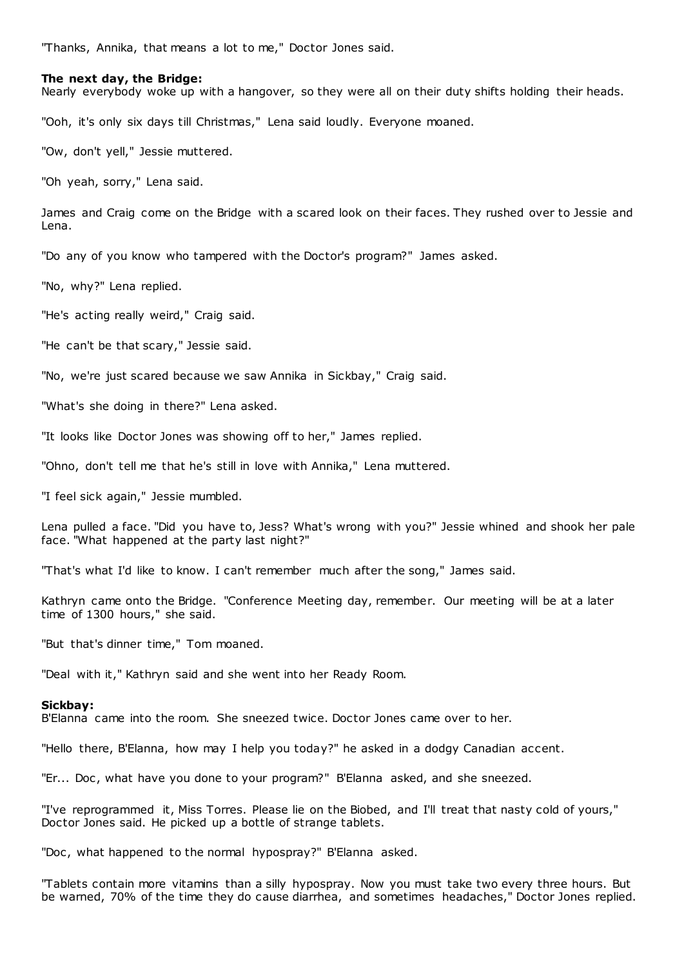"Thanks, Annika, that means a lot to me," Doctor Jones said.

### **The next day, the Bridge:**

Nearly everybody woke up with a hangover, so they were all on their duty shifts holding their heads.

"Ooh, it's only six days till Christmas," Lena said loudly. Everyone moaned.

"Ow, don't yell," Jessie muttered.

"Oh yeah, sorry," Lena said.

James and Craig come on the Bridge with a scared look on their faces. They rushed over to Jessie and Lena.

"Do any of you know who tampered with the Doctor's program?" James asked.

"No, why?" Lena replied.

"He's acting really weird," Craig said.

"He can't be that scary," Jessie said.

"No, we're just scared because we saw Annika in Sickbay," Craig said.

"What's she doing in there?" Lena asked.

"It looks like Doctor Jones was showing off to her," James replied.

"Ohno, don't tell me that he's still in love with Annika," Lena muttered.

"I feel sick again," Jessie mumbled.

Lena pulled a face. "Did you have to, Jess? What's wrong with you?" Jessie whined and shook her pale face. "What happened at the party last night?"

"That's what I'd like to know. I can't remember much after the song," James said.

Kathryn came onto the Bridge. "Conference Meeting day, remember. Our meeting will be at a later time of 1300 hours," she said.

"But that's dinner time," Tom moaned.

"Deal with it," Kathryn said and she went into her Ready Room.

### **Sickbay:**

B'Elanna came into the room. She sneezed twice. Doctor Jones came over to her.

"Hello there, B'Elanna, how may I help you today?" he asked in a dodgy Canadian accent.

"Er... Doc, what have you done to your program?" B'Elanna asked, and she sneezed.

"I've reprogrammed it, Miss Torres. Please lie on the Biobed, and I'll treat that nasty cold of yours," Doctor Jones said. He picked up a bottle of strange tablets.

"Doc, what happened to the normal hypospray?" B'Elanna asked.

"Tablets contain more vitamins than a silly hypospray. Now you must take two every three hours. But be warned, 70% of the time they do cause diarrhea, and sometimes headaches," Doctor Jones replied.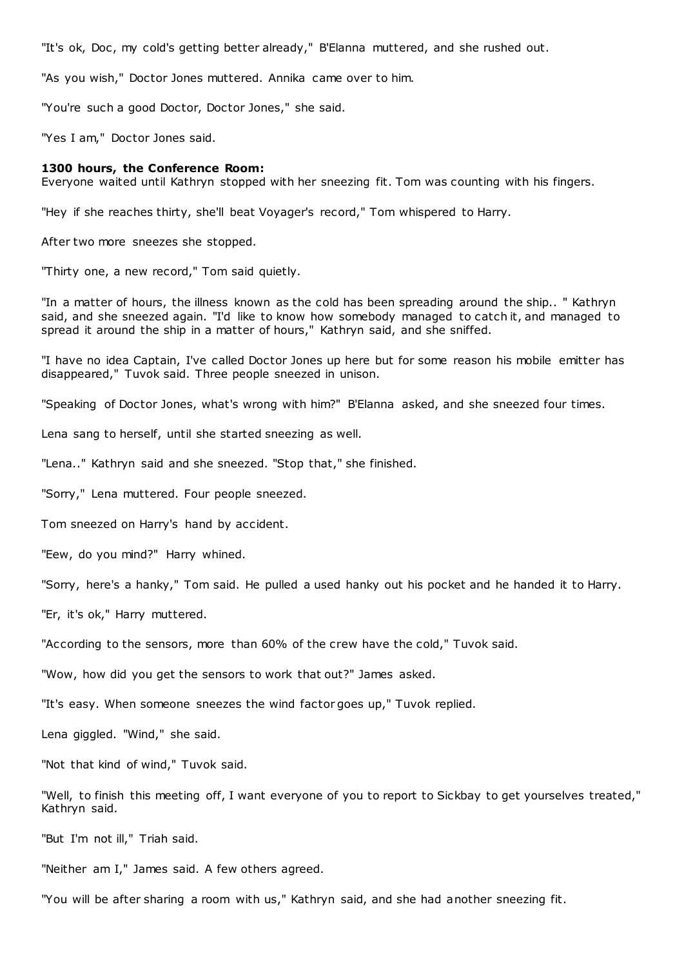"It's ok, Doc , my cold's getting better already," B'Elanna muttered, and she rushed out.

"As you wish," Doctor Jones muttered. Annika came over to him.

"You're such a good Doctor, Doctor Jones," she said.

"Yes I am," Doctor Jones said.

#### **1300 hours, the Conference Room:**

Everyone waited until Kathryn stopped with her sneezing fit. Tom was counting with his fingers.

"Hey if she reaches thirty, she'll beat Voyager's record," Tom whispered to Harry.

After two more sneezes she stopped.

"Thirty one, a new record," Tom said quietly.

"In a matter of hours, the illness known as the cold has been spreading around the ship.. " Kathryn said, and she sneezed again. "I'd like to know how somebody managed to catch it, and managed to spread it around the ship in a matter of hours," Kathryn said, and she sniffed.

"I have no idea Captain, I've called Doctor Jones up here but for some reason his mobile emitter has disappeared," Tuvok said. Three people sneezed in unison.

"Speaking of Doctor Jones, what's wrong with him?" B'Elanna asked, and she sneezed four times.

Lena sang to herself, until she started sneezing as well.

"Lena.." Kathryn said and she sneezed. "Stop that," she finished.

"Sorry," Lena muttered. Four people sneezed.

Tom sneezed on Harry's hand by accident.

"Eew, do you mind?" Harry whined.

"Sorry, here's a hanky," Tom said. He pulled a used hanky out his pocket and he handed it to Harry.

"Er, it's ok," Harry muttered.

"According to the sensors, more than 60% of the crew have the cold," Tuvok said.

"Wow, how did you get the sensors to work that out?" James asked.

"It's easy. When someone sneezes the wind factor goes up," Tuvok replied.

Lena giggled. "Wind," she said.

"Not that kind of wind," Tuvok said.

"Well, to finish this meeting off, I want everyone of you to report to Sickbay to get yourselves treated," Kathryn said.

"But I'm not ill," Triah said.

"Neither am I," James said. A few others agreed.

"You will be after sharing a room with us," Kathryn said, and she had another sneezing fit.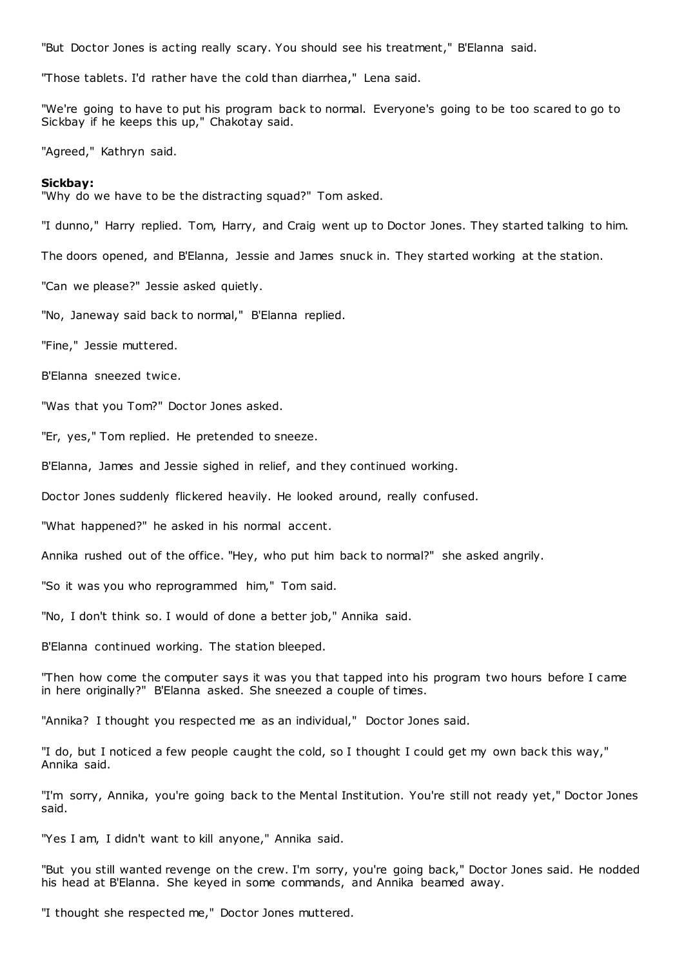"But Doctor Jones is acting really scary. You should see his treatment," B'Elanna said.

"Those tablets. I'd rather have the cold than diarrhea," Lena said.

"We're going to have to put his program back to normal. Everyone's going to be too scared to go to Sickbay if he keeps this up," Chakotay said.

"Agreed," Kathryn said.

#### **Sickbay:**

"Why do we have to be the distracting squad?" Tom asked.

"I dunno," Harry replied. Tom, Harry, and Craig went up to Doctor Jones. They started talking to him.

The doors opened, and B'Elanna, Jessie and James snuck in. They started working at the station.

"Can we please?" Jessie asked quietly.

"No, Janeway said back to normal," B'Elanna replied.

"Fine," Jessie muttered.

B'Elanna sneezed twice.

"Was that you Tom?" Doctor Jones asked.

"Er, yes," Tom replied. He pretended to sneeze.

B'Elanna, James and Jessie sighed in relief, and they continued working.

Doctor Jones suddenly flickered heavily. He looked around, really confused.

"What happened?" he asked in his normal accent.

Annika rushed out of the office. "Hey, who put him back to normal?" she asked angrily.

"So it was you who reprogrammed him," Tom said.

"No, I don't think so. I would of done a better job," Annika said.

B'Elanna continued working. The station bleeped.

"Then how come the computer says it was you that tapped into his program two hours before I came in here originally?" B'Elanna asked. She sneezed a couple of times.

"Annika? I thought you respected me as an individual," Doctor Jones said.

"I do, but I noticed a few people caught the cold, so I thought I could get my own back this way," Annika said.

"I'm sorry, Annika, you're going back to the Mental Institution. You're still not ready yet," Doctor Jones said.

"Yes I am, I didn't want to kill anyone," Annika said.

"But you still wanted revenge on the crew. I'm sorry, you're going back," Doctor Jones said. He nodded his head at B'Elanna. She keyed in some commands, and Annika beamed away.

"I thought she respected me," Doctor Jones muttered.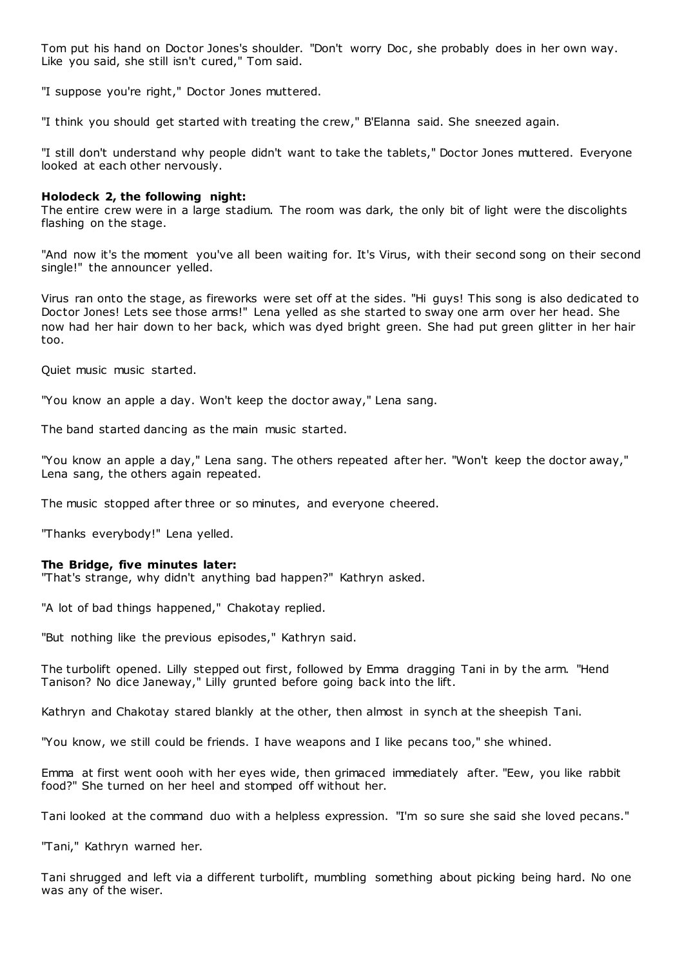Tom put his hand on Doctor Jones's shoulder. "Don't worry Doc , she probably does in her own way. Like you said, she still isn't cured," Tom said.

"I suppose you're right," Doctor Jones muttered.

"I think you should get started with treating the crew," B'Elanna said. She sneezed again.

"I still don't understand why people didn't want to take the tablets," Doctor Jones muttered. Everyone looked at each other nervously.

## **Holodeck 2, the following night:**

The entire crew were in a large stadium. The room was dark, the only bit of light were the discolights flashing on the stage.

"And now it's the moment you've all been waiting for. It's Virus, with their second song on their second single!" the announcer yelled.

Virus ran onto the stage, as fireworks were set off at the sides. "Hi guys! This song is also dedicated to Doctor Jones! Lets see those arms!" Lena yelled as she started to sway one arm over her head. She now had her hair down to her back, which was dyed bright green. She had put green glitter in her hair too.

Quiet music music started.

"You know an apple a day. Won't keep the doctor away," Lena sang.

The band started dancing as the main music started.

"You know an apple a day," Lena sang. The others repeated after her. "Won't keep the doctor away," Lena sang, the others again repeated.

The music stopped after three or so minutes, and everyone cheered.

"Thanks everybody!" Lena yelled.

## **The Bridge, five minutes later:**

"That's strange, why didn't anything bad happen?" Kathryn asked.

"A lot of bad things happened," Chakotay replied.

"But nothing like the previous episodes," Kathryn said.

The turbolift opened. Lilly stepped out first, followed by Emma dragging Tani in by the arm. "Hend Tanison? No dice Janeway," Lilly grunted before going back into the lift.

Kathryn and Chakotay stared blankly at the other, then almost in synch at the sheepish Tani.

"You know, we still could be friends. I have weapons and I like pecans too," she whined.

Emma at first went oooh with her eyes wide, then grimaced immediately after. "Eew, you like rabbit food?" She turned on her heel and stomped off without her.

Tani looked at the command duo with a helpless expression. "I'm so sure she said she loved pecans."

"Tani," Kathryn warned her.

Tani shrugged and left via a different turbolift, mumbling something about picking being hard. No one was any of the wiser.